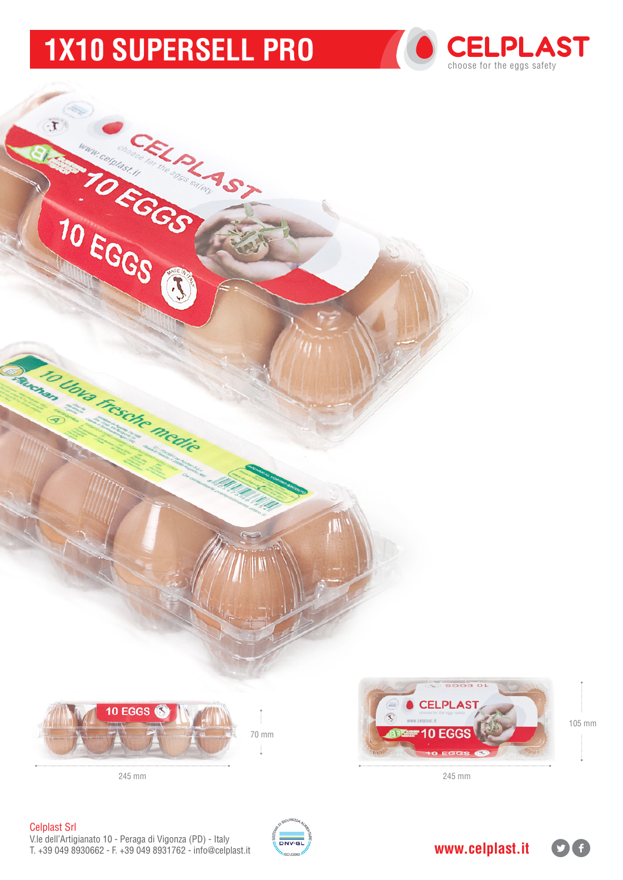# **1x10 supersell PRO**





Celplast Srl

V.le dell'Artigianato 10 - Peraga di Vigonza (PD) - Italy T. +39 049 8930662 - F. +39 049 8931762 - info@celplast.it